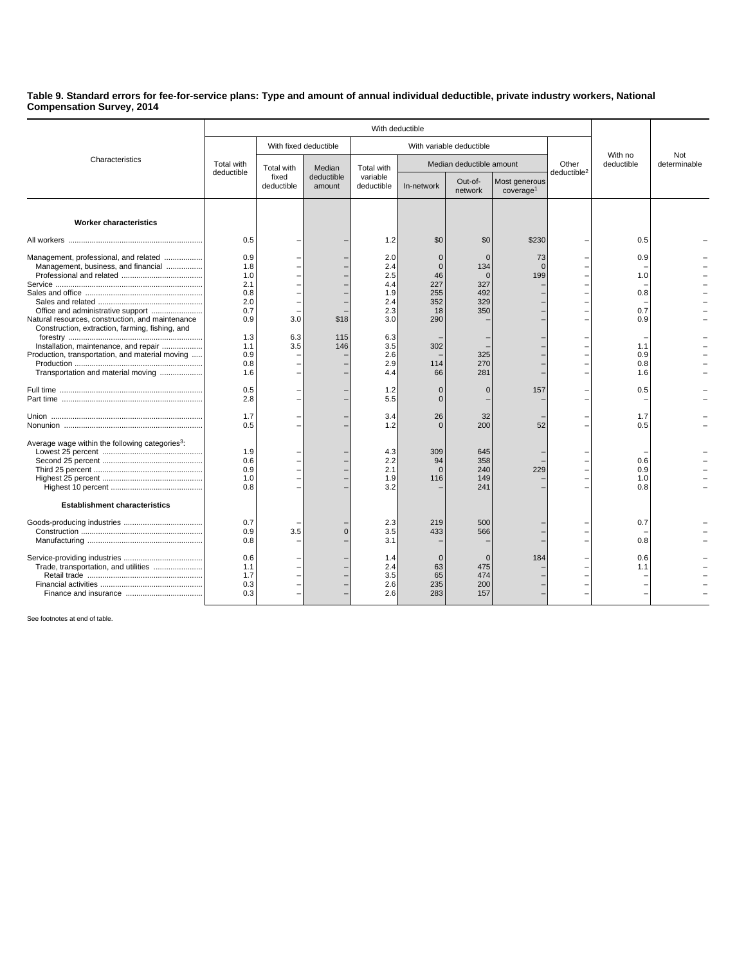## **Table 9. Standard errors for fee-for-service plans: Type and amount of annual individual deductible, private industry workers, National Compensation Survey, 2014**

|                                                                                                                                                                                                                                                                                                                       | With deductible                                                                                                     |                                   |                                |                                                                                                                     |                                                                                                                         |                                                                                                          |                                        |                                  |                                                                                  |              |
|-----------------------------------------------------------------------------------------------------------------------------------------------------------------------------------------------------------------------------------------------------------------------------------------------------------------------|---------------------------------------------------------------------------------------------------------------------|-----------------------------------|--------------------------------|---------------------------------------------------------------------------------------------------------------------|-------------------------------------------------------------------------------------------------------------------------|----------------------------------------------------------------------------------------------------------|----------------------------------------|----------------------------------|----------------------------------------------------------------------------------|--------------|
| Characteristics                                                                                                                                                                                                                                                                                                       |                                                                                                                     | With fixed deductible             |                                | With variable deductible                                                                                            |                                                                                                                         |                                                                                                          |                                        |                                  | With no                                                                          | Not          |
|                                                                                                                                                                                                                                                                                                                       | Total with<br>deductible                                                                                            | Total with<br>fixed<br>deductible | Median<br>deductible<br>amount | Total with<br>variable<br>deductible                                                                                | Median deductible amount                                                                                                |                                                                                                          |                                        | Other<br>deductible <sup>2</sup> | deductible                                                                       | determinable |
|                                                                                                                                                                                                                                                                                                                       |                                                                                                                     |                                   |                                |                                                                                                                     | In-network                                                                                                              | Out-of-<br>network                                                                                       | Most generous<br>cover aq <sub>e</sub> |                                  |                                                                                  |              |
| <b>Worker characteristics</b>                                                                                                                                                                                                                                                                                         |                                                                                                                     |                                   |                                |                                                                                                                     |                                                                                                                         |                                                                                                          |                                        |                                  |                                                                                  |              |
|                                                                                                                                                                                                                                                                                                                       | 0.5                                                                                                                 |                                   |                                | 1.2                                                                                                                 | \$0                                                                                                                     | \$0                                                                                                      | \$230                                  |                                  | 0.5                                                                              |              |
| Management, professional, and related<br>Management, business, and financial<br>Natural resources, construction, and maintenance<br>Construction, extraction, farming, fishing, and<br>Installation, maintenance, and repair<br>Production, transportation, and material moving<br>Transportation and material moving | 0.9<br>1.8<br>1.0<br>2.1<br>0.8<br>2.0<br>0.7<br>0.9<br>1.3<br>1.1<br>0.9<br>0.8<br>1.6<br>0.5<br>2.8<br>1.7<br>0.5 | 3.0<br>6.3<br>3.5                 | \$18<br>115<br>146             | 2.0<br>2.4<br>2.5<br>4.4<br>1.9<br>2.4<br>2.3<br>3.0<br>6.3<br>3.5<br>2.6<br>2.9<br>4.4<br>1.2<br>5.5<br>3.4<br>1.2 | $\Omega$<br>$\mathbf{0}$<br>46<br>227<br>255<br>352<br>18<br>290<br>302<br>114<br>66<br>0<br>$\Omega$<br>26<br>$\Omega$ | $\Omega$<br>134<br>$\Omega$<br>327<br>492<br>329<br>350<br>325<br>270<br>281<br>$\mathbf 0$<br>32<br>200 | 73<br>$\Omega$<br>199<br>157<br>52     |                                  | 0.9<br>1.0<br>0.8<br>0.7<br>0.9<br>1.1<br>0.9<br>0.8<br>1.6<br>0.5<br>1.7<br>0.5 |              |
| Average wage within the following categories <sup>3</sup> :<br><b>Establishment characteristics</b>                                                                                                                                                                                                                   | 1.9<br>0.6<br>0.9<br>1.0<br>0.8                                                                                     |                                   |                                | 4.3<br>2.2<br>2.1<br>1.9<br>3.2                                                                                     | 309<br>94<br>$\Omega$<br>116                                                                                            | 645<br>358<br>240<br>149<br>241                                                                          | 229                                    |                                  | 0.6<br>0.9<br>1.0<br>0.8                                                         |              |
|                                                                                                                                                                                                                                                                                                                       | 0.7<br>0.9<br>0.8                                                                                                   | 3.5                               | $\overline{0}$                 | 2.3<br>3.5<br>3.1                                                                                                   | 219<br>433                                                                                                              | 500<br>566                                                                                               |                                        |                                  | 0.7<br>0.8                                                                       |              |
| Trade, transportation, and utilities                                                                                                                                                                                                                                                                                  | 0.6<br>1.1<br>1.7<br>0.3<br>0.3                                                                                     |                                   |                                | 1.4<br>2.4<br>3.5<br>2.6<br>2.6                                                                                     | $\Omega$<br>63<br>65<br>235<br>283                                                                                      | $\Omega$<br>475<br>474<br>200<br>157                                                                     | 184                                    |                                  | 0.6<br>1.1                                                                       |              |

See footnotes at end of table.